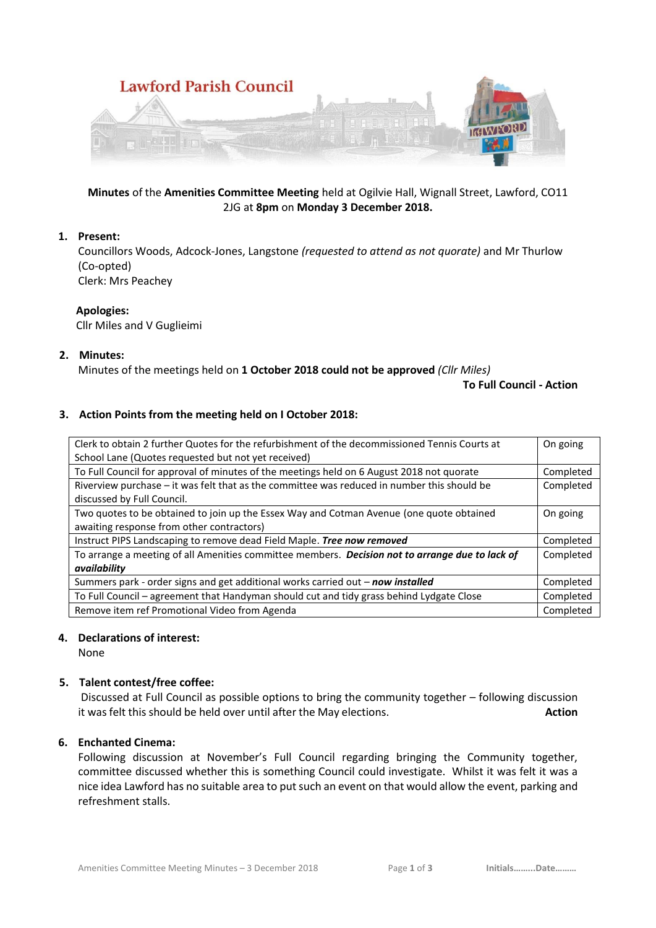

## **Minutes** of the **Amenities Committee Meeting** held at Ogilvie Hall, Wignall Street, Lawford, CO11 2JG at **8pm** on **Monday 3 December 2018.**

## **1. Present:**

Councillors Woods, Adcock-Jones, Langstone *(requested to attend as not quorate)* and Mr Thurlow (Co-opted)

Clerk: Mrs Peachey

#### **Apologies:**

Cllr Miles and V Guglieimi

#### **2. Minutes:**

Minutes of the meetings held on **1 October 2018 could not be approved** *(Cllr Miles)*

**To Full Council - Action**

### **3. Action Points from the meeting held on I October 2018:**

| Clerk to obtain 2 further Quotes for the refurbishment of the decommissioned Tennis Courts at<br>School Lane (Quotes requested but not yet received) | On going  |
|------------------------------------------------------------------------------------------------------------------------------------------------------|-----------|
| To Full Council for approval of minutes of the meetings held on 6 August 2018 not quorate                                                            | Completed |
| Riverview purchase - it was felt that as the committee was reduced in number this should be                                                          | Completed |
| discussed by Full Council.                                                                                                                           |           |
| Two quotes to be obtained to join up the Essex Way and Cotman Avenue (one quote obtained                                                             | On going  |
| awaiting response from other contractors)                                                                                                            |           |
| Instruct PIPS Landscaping to remove dead Field Maple. Tree now removed                                                                               | Completed |
| To arrange a meeting of all Amenities committee members. Decision not to arrange due to lack of                                                      | Completed |
| availability                                                                                                                                         |           |
| Summers park - order signs and get additional works carried out - now installed                                                                      | Completed |
| To Full Council - agreement that Handyman should cut and tidy grass behind Lydgate Close                                                             | Completed |
| Remove item ref Promotional Video from Agenda                                                                                                        | Completed |

### **4. Declarations of interest:**

None

### **5. Talent contest/free coffee:**

Discussed at Full Council as possible options to bring the community together – following discussion it was felt this should be held over until after the May elections. **Action**

## **6. Enchanted Cinema:**

Following discussion at November's Full Council regarding bringing the Community together, committee discussed whether this is something Council could investigate. Whilst it was felt it was a nice idea Lawford has no suitable area to put such an event on that would allow the event, parking and refreshment stalls.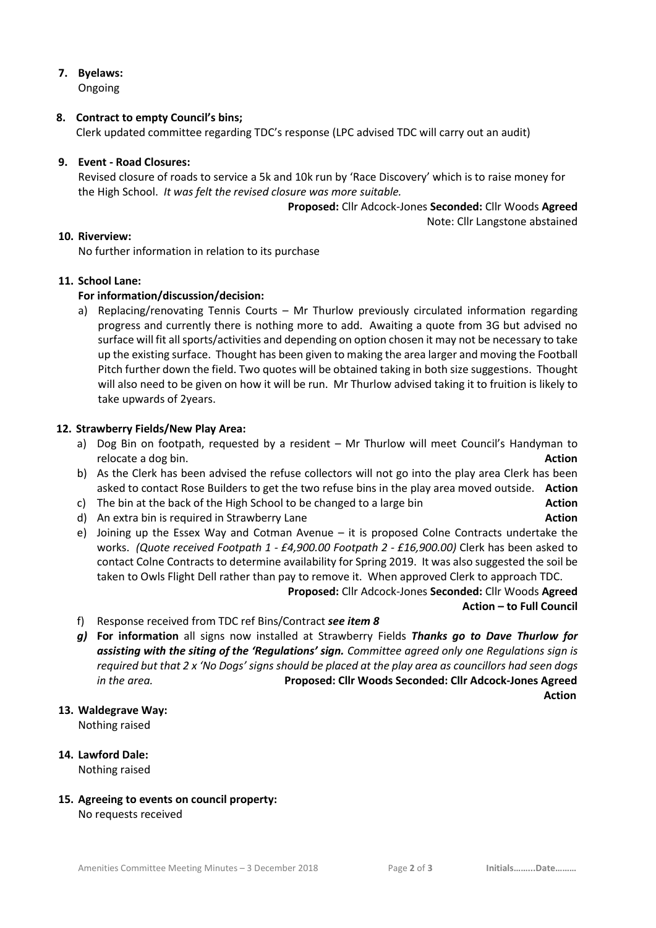# **7. Byelaws:**

Ongoing

### **8. Contract to empty Council's bins;**

Clerk updated committee regarding TDC's response (LPC advised TDC will carry out an audit)

## **9. Event - Road Closures:**

Revised closure of roads to service a 5k and 10k run by 'Race Discovery' which is to raise money for the High School. *It was felt the revised closure was more suitable.*

> **Proposed:** Cllr Adcock-Jones **Seconded:** Cllr Woods **Agreed** Note: Cllr Langstone abstained

# **10. Riverview:**

No further information in relation to its purchase

## **11. School Lane:**

## **For information/discussion/decision:**

a) Replacing/renovating Tennis Courts – Mr Thurlow previously circulated information regarding progress and currently there is nothing more to add. Awaiting a quote from 3G but advised no surface will fit all sports/activities and depending on option chosen it may not be necessary to take up the existing surface. Thought has been given to making the area larger and moving the Football Pitch further down the field. Two quotes will be obtained taking in both size suggestions. Thought will also need to be given on how it will be run. Mr Thurlow advised taking it to fruition is likely to take upwards of 2years.

## **12. Strawberry Fields/New Play Area:**

- a) Dog Bin on footpath, requested by a resident Mr Thurlow will meet Council's Handyman to relocate a dog bin. **Action**
- b) As the Clerk has been advised the refuse collectors will not go into the play area Clerk has been asked to contact Rose Builders to get the two refuse bins in the play area moved outside. **Action**
- c) The bin at the back of the High School to be changed to a large bin **Action**
- d) An extra bin is required in Strawberry Lane **Action Action Action**
- e) Joining up the Essex Way and Cotman Avenue it is proposed Colne Contracts undertake the works. *(Quote received Footpath 1 - £4,900.00 Footpath 2 - £16,900.00)* Clerk has been asked to contact Colne Contracts to determine availability for Spring 2019. It was also suggested the soil be taken to Owls Flight Dell rather than pay to remove it. When approved Clerk to approach TDC.

**Proposed:** Cllr Adcock-Jones **Seconded:** Cllr Woods **Agreed Action – to Full Council**

- f) Response received from TDC ref Bins/Contract *see item 8*
- *g)* **For information** all signs now installed at Strawberry Fields *Thanks go to Dave Thurlow for assisting with the siting of the 'Regulations' sign. Committee agreed only one Regulations sign is required but that 2 x 'No Dogs' signs should be placed at the play area as councillors had seen dogs in the area.* **Proposed: Cllr Woods Seconded: Cllr Adcock-Jones Agreed** *Action*

### **13. Waldegrave Way:**

Nothing raised

#### **14. Lawford Dale:** Nothing raised

**15. Agreeing to events on council property:** No requests received